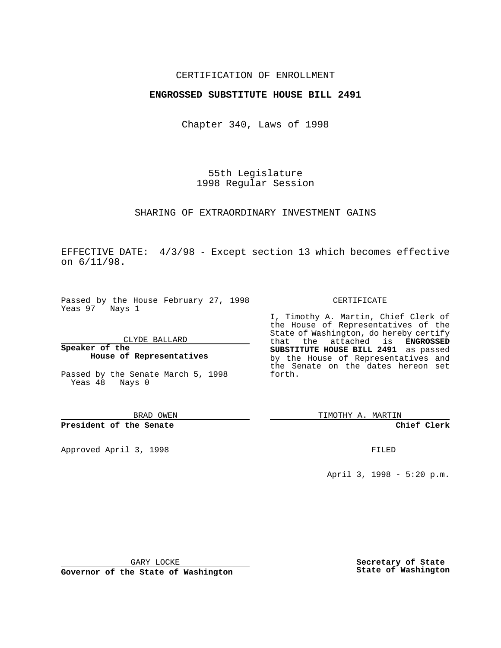## CERTIFICATION OF ENROLLMENT

## **ENGROSSED SUBSTITUTE HOUSE BILL 2491**

Chapter 340, Laws of 1998

55th Legislature 1998 Regular Session

#### SHARING OF EXTRAORDINARY INVESTMENT GAINS

EFFECTIVE DATE: 4/3/98 - Except section 13 which becomes effective on 6/11/98.

Passed by the House February 27, 1998 Yeas 97 Nays 1

CLYDE BALLARD

**Speaker of the House of Representatives**

Passed by the Senate March 5, 1998 Yeas 48 Nays 0

BRAD OWEN

### **President of the Senate**

Approved April 3, 1998 **FILED** 

#### CERTIFICATE

I, Timothy A. Martin, Chief Clerk of the House of Representatives of the State of Washington, do hereby certify that the attached is **ENGROSSED SUBSTITUTE HOUSE BILL 2491** as passed by the House of Representatives and the Senate on the dates hereon set forth.

TIMOTHY A. MARTIN

#### **Chief Clerk**

April 3, 1998 - 5:20 p.m.

GARY LOCKE

**Governor of the State of Washington**

**Secretary of State State of Washington**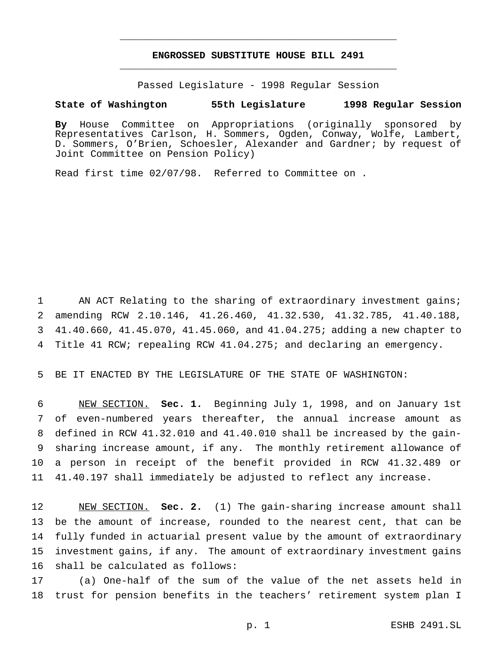# **ENGROSSED SUBSTITUTE HOUSE BILL 2491** \_\_\_\_\_\_\_\_\_\_\_\_\_\_\_\_\_\_\_\_\_\_\_\_\_\_\_\_\_\_\_\_\_\_\_\_\_\_\_\_\_\_\_\_\_\_\_

\_\_\_\_\_\_\_\_\_\_\_\_\_\_\_\_\_\_\_\_\_\_\_\_\_\_\_\_\_\_\_\_\_\_\_\_\_\_\_\_\_\_\_\_\_\_\_

Passed Legislature - 1998 Regular Session

#### **State of Washington 55th Legislature 1998 Regular Session**

**By** House Committee on Appropriations (originally sponsored by Representatives Carlson, H. Sommers, Ogden, Conway, Wolfe, Lambert, D. Sommers, O'Brien, Schoesler, Alexander and Gardner; by request of Joint Committee on Pension Policy)

Read first time 02/07/98. Referred to Committee on .

 AN ACT Relating to the sharing of extraordinary investment gains; amending RCW 2.10.146, 41.26.460, 41.32.530, 41.32.785, 41.40.188, 41.40.660, 41.45.070, 41.45.060, and 41.04.275; adding a new chapter to Title 41 RCW; repealing RCW 41.04.275; and declaring an emergency.

BE IT ENACTED BY THE LEGISLATURE OF THE STATE OF WASHINGTON:

 NEW SECTION. **Sec. 1.** Beginning July 1, 1998, and on January 1st of even-numbered years thereafter, the annual increase amount as defined in RCW 41.32.010 and 41.40.010 shall be increased by the gain- sharing increase amount, if any. The monthly retirement allowance of a person in receipt of the benefit provided in RCW 41.32.489 or 41.40.197 shall immediately be adjusted to reflect any increase.

 NEW SECTION. **Sec. 2.** (1) The gain-sharing increase amount shall be the amount of increase, rounded to the nearest cent, that can be fully funded in actuarial present value by the amount of extraordinary investment gains, if any. The amount of extraordinary investment gains shall be calculated as follows:

 (a) One-half of the sum of the value of the net assets held in trust for pension benefits in the teachers' retirement system plan I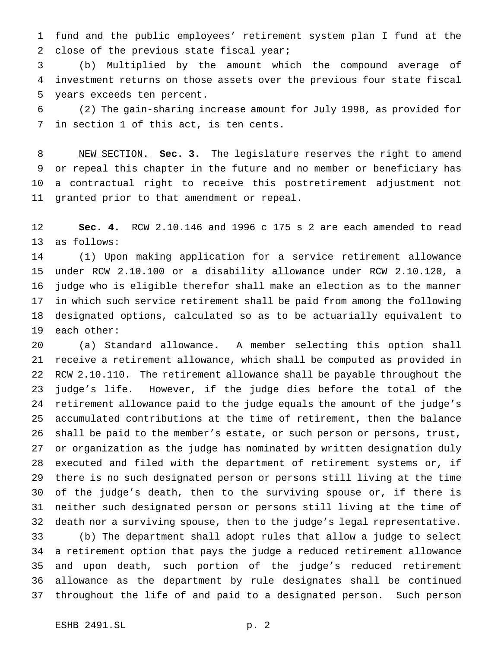fund and the public employees' retirement system plan I fund at the close of the previous state fiscal year;

 (b) Multiplied by the amount which the compound average of investment returns on those assets over the previous four state fiscal years exceeds ten percent.

 (2) The gain-sharing increase amount for July 1998, as provided for in section 1 of this act, is ten cents.

 NEW SECTION. **Sec. 3.** The legislature reserves the right to amend or repeal this chapter in the future and no member or beneficiary has a contractual right to receive this postretirement adjustment not granted prior to that amendment or repeal.

 **Sec. 4.** RCW 2.10.146 and 1996 c 175 s 2 are each amended to read as follows:

 (1) Upon making application for a service retirement allowance under RCW 2.10.100 or a disability allowance under RCW 2.10.120, a judge who is eligible therefor shall make an election as to the manner in which such service retirement shall be paid from among the following designated options, calculated so as to be actuarially equivalent to each other:

 (a) Standard allowance. A member selecting this option shall receive a retirement allowance, which shall be computed as provided in RCW 2.10.110. The retirement allowance shall be payable throughout the judge's life. However, if the judge dies before the total of the retirement allowance paid to the judge equals the amount of the judge's accumulated contributions at the time of retirement, then the balance shall be paid to the member's estate, or such person or persons, trust, or organization as the judge has nominated by written designation duly executed and filed with the department of retirement systems or, if there is no such designated person or persons still living at the time of the judge's death, then to the surviving spouse or, if there is neither such designated person or persons still living at the time of death nor a surviving spouse, then to the judge's legal representative. (b) The department shall adopt rules that allow a judge to select a retirement option that pays the judge a reduced retirement allowance and upon death, such portion of the judge's reduced retirement allowance as the department by rule designates shall be continued throughout the life of and paid to a designated person. Such person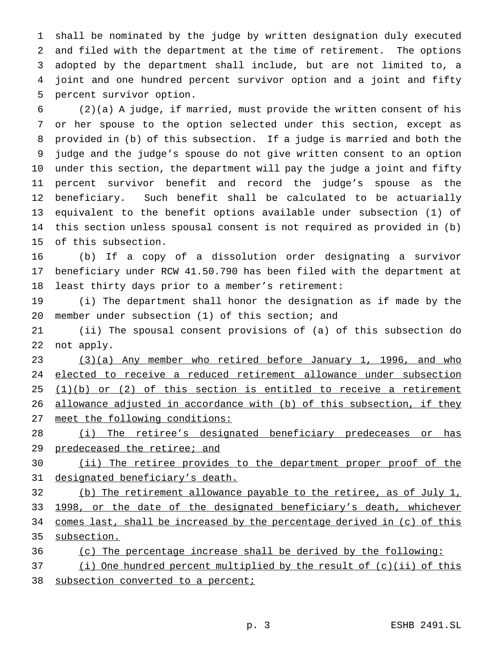shall be nominated by the judge by written designation duly executed and filed with the department at the time of retirement. The options adopted by the department shall include, but are not limited to, a joint and one hundred percent survivor option and a joint and fifty percent survivor option.

 (2)(a) A judge, if married, must provide the written consent of his or her spouse to the option selected under this section, except as provided in (b) of this subsection. If a judge is married and both the judge and the judge's spouse do not give written consent to an option under this section, the department will pay the judge a joint and fifty percent survivor benefit and record the judge's spouse as the beneficiary. Such benefit shall be calculated to be actuarially equivalent to the benefit options available under subsection (1) of this section unless spousal consent is not required as provided in (b) of this subsection.

 (b) If a copy of a dissolution order designating a survivor beneficiary under RCW 41.50.790 has been filed with the department at least thirty days prior to a member's retirement:

 (i) The department shall honor the designation as if made by the member under subsection (1) of this section; and

 (ii) The spousal consent provisions of (a) of this subsection do not apply.

 (3)(a) Any member who retired before January 1, 1996, and who 24 elected to receive a reduced retirement allowance under subsection  $(1)(b)$  or  $(2)$  of this section is entitled to receive a retirement 26 allowance adjusted in accordance with (b) of this subsection, if they meet the following conditions:

28 (i) The retiree's designated beneficiary predeceases or has 29 predeceased the retiree; and

 (ii) The retiree provides to the department proper proof of the 31 designated beneficiary's death.

 (b) The retirement allowance payable to the retiree, as of July 1, 33 1998, or the date of the designated beneficiary's death, whichever comes last, shall be increased by the percentage derived in (c) of this subsection.

(c) The percentage increase shall be derived by the following:

(i) One hundred percent multiplied by the result of (c)(ii) of this

38 subsection converted to a percent;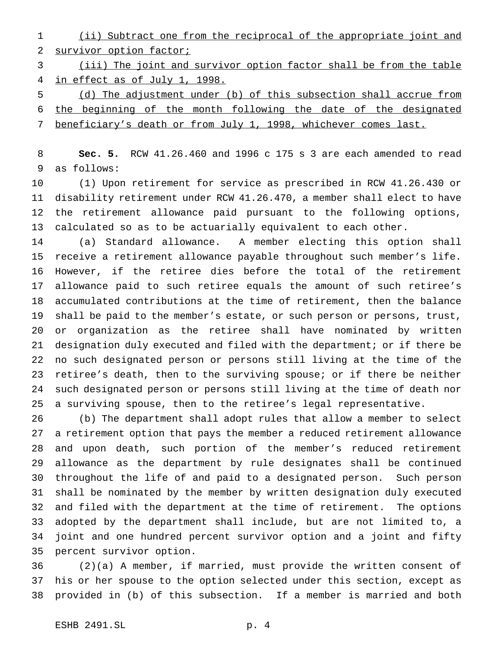(ii) Subtract one from the reciprocal of the appropriate joint and survivor option factor;

 (iii) The joint and survivor option factor shall be from the table in effect as of July 1, 1998.

 (d) The adjustment under (b) of this subsection shall accrue from the beginning of the month following the date of the designated beneficiary's death or from July 1, 1998, whichever comes last.

 **Sec. 5.** RCW 41.26.460 and 1996 c 175 s 3 are each amended to read as follows:

 (1) Upon retirement for service as prescribed in RCW 41.26.430 or disability retirement under RCW 41.26.470, a member shall elect to have the retirement allowance paid pursuant to the following options, calculated so as to be actuarially equivalent to each other.

 (a) Standard allowance. A member electing this option shall receive a retirement allowance payable throughout such member's life. However, if the retiree dies before the total of the retirement allowance paid to such retiree equals the amount of such retiree's accumulated contributions at the time of retirement, then the balance shall be paid to the member's estate, or such person or persons, trust, or organization as the retiree shall have nominated by written designation duly executed and filed with the department; or if there be no such designated person or persons still living at the time of the retiree's death, then to the surviving spouse; or if there be neither such designated person or persons still living at the time of death nor a surviving spouse, then to the retiree's legal representative.

 (b) The department shall adopt rules that allow a member to select a retirement option that pays the member a reduced retirement allowance and upon death, such portion of the member's reduced retirement allowance as the department by rule designates shall be continued throughout the life of and paid to a designated person. Such person shall be nominated by the member by written designation duly executed and filed with the department at the time of retirement. The options adopted by the department shall include, but are not limited to, a joint and one hundred percent survivor option and a joint and fifty percent survivor option.

 (2)(a) A member, if married, must provide the written consent of his or her spouse to the option selected under this section, except as provided in (b) of this subsection. If a member is married and both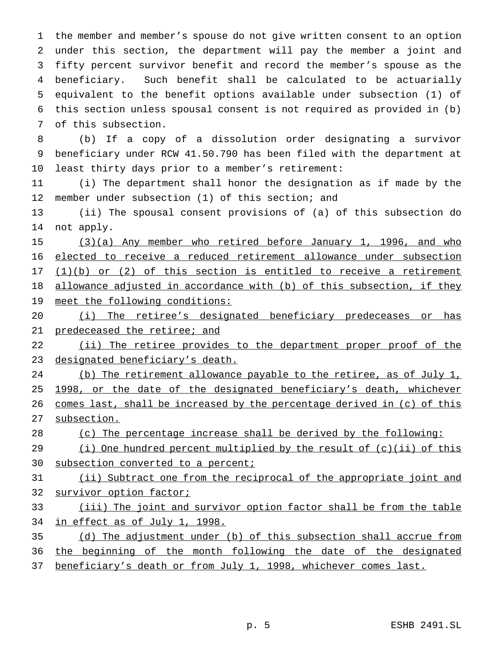the member and member's spouse do not give written consent to an option under this section, the department will pay the member a joint and fifty percent survivor benefit and record the member's spouse as the beneficiary. Such benefit shall be calculated to be actuarially equivalent to the benefit options available under subsection (1) of this section unless spousal consent is not required as provided in (b) of this subsection.

 (b) If a copy of a dissolution order designating a survivor beneficiary under RCW 41.50.790 has been filed with the department at least thirty days prior to a member's retirement:

 (i) The department shall honor the designation as if made by the member under subsection (1) of this section; and

 (ii) The spousal consent provisions of (a) of this subsection do not apply.

15 (3)(a) Any member who retired before January 1, 1996, and who elected to receive a reduced retirement allowance under subsection  $(1)(b)$  or  $(2)$  of this section is entitled to receive a retirement 18 allowance adjusted in accordance with (b) of this subsection, if they 19 meet the following conditions:

 (i) The retiree's designated beneficiary predeceases or has predeceased the retiree; and

22 (ii) The retiree provides to the department proper proof of the 23 designated beneficiary's death.

24 (b) The retirement allowance payable to the retiree, as of July 1, 25 1998, or the date of the designated beneficiary's death, whichever 26 comes last, shall be increased by the percentage derived in (c) of this subsection.

(c) The percentage increase shall be derived by the following:

29 (i) One hundred percent multiplied by the result of (c)(ii) of this

30 subsection converted to a percent;

31 (ii) Subtract one from the reciprocal of the appropriate joint and survivor option factor;

 (iii) The joint and survivor option factor shall be from the table in effect as of July 1, 1998.

 (d) The adjustment under (b) of this subsection shall accrue from 36 the beginning of the month following the date of the designated

37 beneficiary's death or from July 1, 1998, whichever comes last.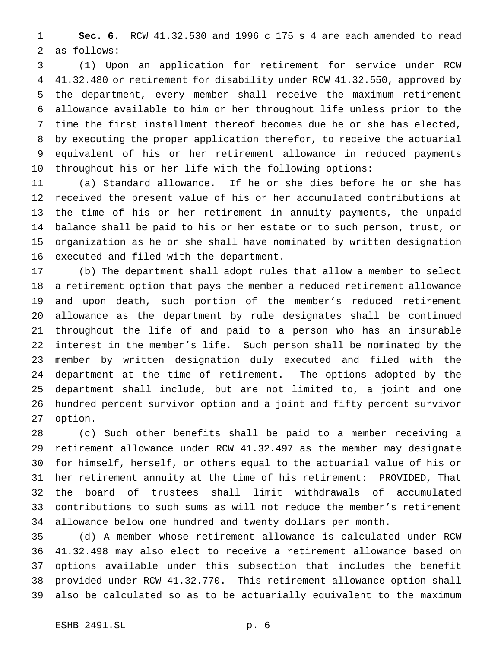**Sec. 6.** RCW 41.32.530 and 1996 c 175 s 4 are each amended to read as follows:

 (1) Upon an application for retirement for service under RCW 41.32.480 or retirement for disability under RCW 41.32.550, approved by the department, every member shall receive the maximum retirement allowance available to him or her throughout life unless prior to the time the first installment thereof becomes due he or she has elected, by executing the proper application therefor, to receive the actuarial equivalent of his or her retirement allowance in reduced payments throughout his or her life with the following options:

 (a) Standard allowance. If he or she dies before he or she has received the present value of his or her accumulated contributions at the time of his or her retirement in annuity payments, the unpaid balance shall be paid to his or her estate or to such person, trust, or organization as he or she shall have nominated by written designation executed and filed with the department.

 (b) The department shall adopt rules that allow a member to select a retirement option that pays the member a reduced retirement allowance and upon death, such portion of the member's reduced retirement allowance as the department by rule designates shall be continued throughout the life of and paid to a person who has an insurable interest in the member's life. Such person shall be nominated by the member by written designation duly executed and filed with the department at the time of retirement. The options adopted by the department shall include, but are not limited to, a joint and one hundred percent survivor option and a joint and fifty percent survivor option.

 (c) Such other benefits shall be paid to a member receiving a retirement allowance under RCW 41.32.497 as the member may designate for himself, herself, or others equal to the actuarial value of his or her retirement annuity at the time of his retirement: PROVIDED, That the board of trustees shall limit withdrawals of accumulated contributions to such sums as will not reduce the member's retirement allowance below one hundred and twenty dollars per month.

 (d) A member whose retirement allowance is calculated under RCW 41.32.498 may also elect to receive a retirement allowance based on options available under this subsection that includes the benefit provided under RCW 41.32.770. This retirement allowance option shall also be calculated so as to be actuarially equivalent to the maximum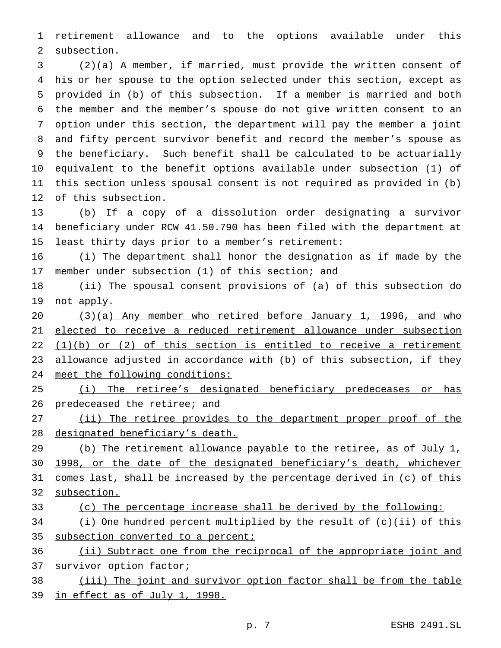retirement allowance and to the options available under this subsection.

 (2)(a) A member, if married, must provide the written consent of his or her spouse to the option selected under this section, except as provided in (b) of this subsection. If a member is married and both the member and the member's spouse do not give written consent to an option under this section, the department will pay the member a joint and fifty percent survivor benefit and record the member's spouse as the beneficiary. Such benefit shall be calculated to be actuarially equivalent to the benefit options available under subsection (1) of this section unless spousal consent is not required as provided in (b) of this subsection.

 (b) If a copy of a dissolution order designating a survivor beneficiary under RCW 41.50.790 has been filed with the department at least thirty days prior to a member's retirement:

 (i) The department shall honor the designation as if made by the member under subsection (1) of this section; and

 (ii) The spousal consent provisions of (a) of this subsection do not apply.

 (3)(a) Any member who retired before January 1, 1996, and who elected to receive a reduced retirement allowance under subsection  $(1)(b)$  or  $(2)$  of this section is entitled to receive a retirement allowance adjusted in accordance with (b) of this subsection, if they meet the following conditions:

25 (i) The retiree's designated beneficiary predeceases or has 26 predeceased the retiree; and

27 (ii) The retiree provides to the department proper proof of the 28 designated beneficiary's death.

29 (b) The retirement allowance payable to the retiree, as of July 1, 1998, or the date of the designated beneficiary's death, whichever comes last, shall be increased by the percentage derived in (c) of this subsection.

(c) The percentage increase shall be derived by the following:

 (i) One hundred percent multiplied by the result of (c)(ii) of this 35 subsection converted to a percent;

36 (ii) Subtract one from the reciprocal of the appropriate joint and 37 survivor option factor;

 (iii) The joint and survivor option factor shall be from the table in effect as of July 1, 1998.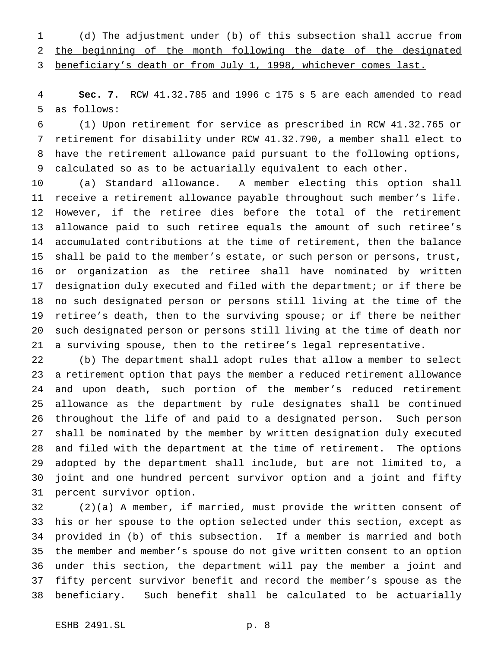(d) The adjustment under (b) of this subsection shall accrue from 2 the beginning of the month following the date of the designated beneficiary's death or from July 1, 1998, whichever comes last.

 **Sec. 7.** RCW 41.32.785 and 1996 c 175 s 5 are each amended to read as follows:

 (1) Upon retirement for service as prescribed in RCW 41.32.765 or retirement for disability under RCW 41.32.790, a member shall elect to have the retirement allowance paid pursuant to the following options, calculated so as to be actuarially equivalent to each other.

 (a) Standard allowance. A member electing this option shall receive a retirement allowance payable throughout such member's life. However, if the retiree dies before the total of the retirement allowance paid to such retiree equals the amount of such retiree's accumulated contributions at the time of retirement, then the balance shall be paid to the member's estate, or such person or persons, trust, or organization as the retiree shall have nominated by written designation duly executed and filed with the department; or if there be no such designated person or persons still living at the time of the retiree's death, then to the surviving spouse; or if there be neither such designated person or persons still living at the time of death nor a surviving spouse, then to the retiree's legal representative.

 (b) The department shall adopt rules that allow a member to select a retirement option that pays the member a reduced retirement allowance and upon death, such portion of the member's reduced retirement allowance as the department by rule designates shall be continued throughout the life of and paid to a designated person. Such person shall be nominated by the member by written designation duly executed and filed with the department at the time of retirement. The options adopted by the department shall include, but are not limited to, a joint and one hundred percent survivor option and a joint and fifty percent survivor option.

 (2)(a) A member, if married, must provide the written consent of his or her spouse to the option selected under this section, except as provided in (b) of this subsection. If a member is married and both the member and member's spouse do not give written consent to an option under this section, the department will pay the member a joint and fifty percent survivor benefit and record the member's spouse as the beneficiary. Such benefit shall be calculated to be actuarially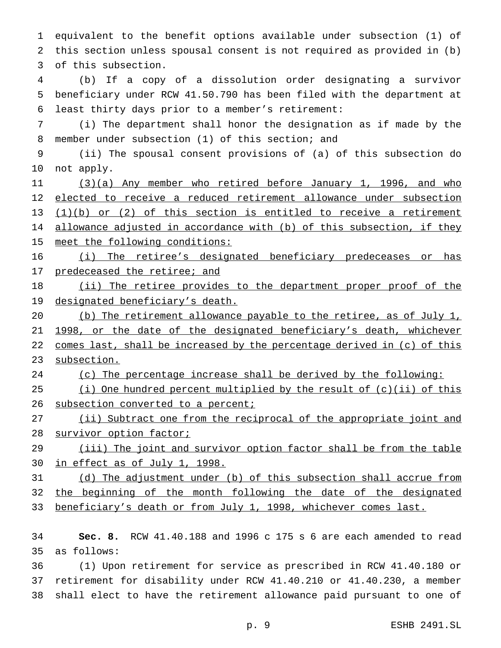equivalent to the benefit options available under subsection (1) of this section unless spousal consent is not required as provided in (b) of this subsection.

 (b) If a copy of a dissolution order designating a survivor beneficiary under RCW 41.50.790 has been filed with the department at least thirty days prior to a member's retirement:

 (i) The department shall honor the designation as if made by the member under subsection (1) of this section; and

 (ii) The spousal consent provisions of (a) of this subsection do not apply.

 (3)(a) Any member who retired before January 1, 1996, and who elected to receive a reduced retirement allowance under subsection  $(1)(b)$  or  $(2)$  of this section is entitled to receive a retirement 14 allowance adjusted in accordance with (b) of this subsection, if they meet the following conditions:

 (i) The retiree's designated beneficiary predeceases or has 17 predeceased the retiree; and

18 (ii) The retiree provides to the department proper proof of the 19 designated beneficiary's death.

 (b) The retirement allowance payable to the retiree, as of July 1, 1998, or the date of the designated beneficiary's death, whichever 22 comes last, shall be increased by the percentage derived in (c) of this subsection.

(c) The percentage increase shall be derived by the following:

 (i) One hundred percent multiplied by the result of (c)(ii) of this 26 subsection converted to a percent;

 (ii) Subtract one from the reciprocal of the appropriate joint and survivor option factor;

29 (iii) The joint and survivor option factor shall be from the table in effect as of July 1, 1998.

 (d) The adjustment under (b) of this subsection shall accrue from 32 the beginning of the month following the date of the designated 33 beneficiary's death or from July 1, 1998, whichever comes last.

 **Sec. 8.** RCW 41.40.188 and 1996 c 175 s 6 are each amended to read as follows:

 (1) Upon retirement for service as prescribed in RCW 41.40.180 or retirement for disability under RCW 41.40.210 or 41.40.230, a member shall elect to have the retirement allowance paid pursuant to one of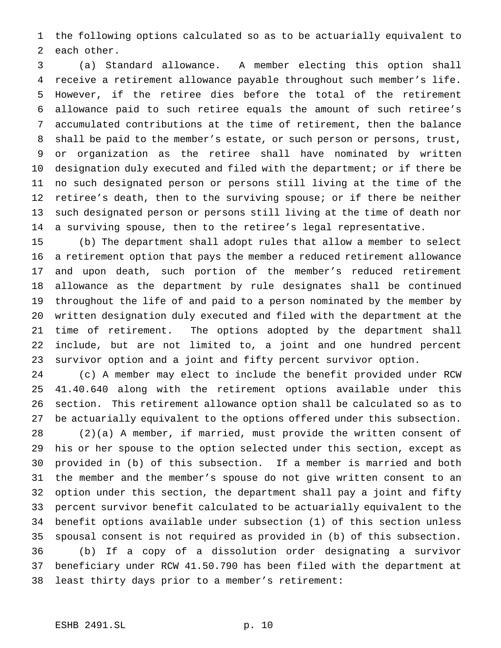the following options calculated so as to be actuarially equivalent to each other.

 (a) Standard allowance. A member electing this option shall receive a retirement allowance payable throughout such member's life. However, if the retiree dies before the total of the retirement allowance paid to such retiree equals the amount of such retiree's accumulated contributions at the time of retirement, then the balance shall be paid to the member's estate, or such person or persons, trust, or organization as the retiree shall have nominated by written designation duly executed and filed with the department; or if there be no such designated person or persons still living at the time of the retiree's death, then to the surviving spouse; or if there be neither such designated person or persons still living at the time of death nor a surviving spouse, then to the retiree's legal representative.

 (b) The department shall adopt rules that allow a member to select a retirement option that pays the member a reduced retirement allowance and upon death, such portion of the member's reduced retirement allowance as the department by rule designates shall be continued throughout the life of and paid to a person nominated by the member by written designation duly executed and filed with the department at the time of retirement. The options adopted by the department shall include, but are not limited to, a joint and one hundred percent survivor option and a joint and fifty percent survivor option.

 (c) A member may elect to include the benefit provided under RCW 41.40.640 along with the retirement options available under this section. This retirement allowance option shall be calculated so as to be actuarially equivalent to the options offered under this subsection.

 (2)(a) A member, if married, must provide the written consent of his or her spouse to the option selected under this section, except as provided in (b) of this subsection. If a member is married and both the member and the member's spouse do not give written consent to an option under this section, the department shall pay a joint and fifty percent survivor benefit calculated to be actuarially equivalent to the benefit options available under subsection (1) of this section unless spousal consent is not required as provided in (b) of this subsection. (b) If a copy of a dissolution order designating a survivor beneficiary under RCW 41.50.790 has been filed with the department at least thirty days prior to a member's retirement: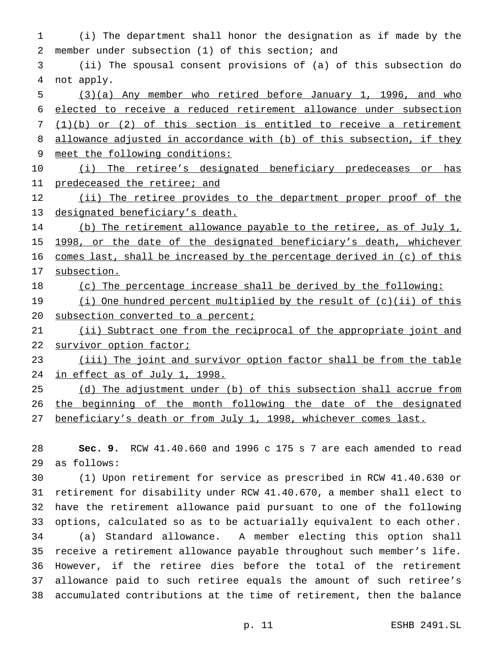1 (i) The department shall honor the designation as if made by the 2 member under subsection (1) of this section; and 3 (ii) The spousal consent provisions of (a) of this subsection do 4 not apply. 5 (3)(a) Any member who retired before January 1, 1996, and who 6 elected to receive a reduced retirement allowance under subsection 7 (1)(b) or (2) of this section is entitled to receive a retirement 8 allowance adjusted in accordance with (b) of this subsection, if they 9 meet the following conditions: 10 (i) The retiree's designated beneficiary predeceases or has 11 predeceased the retiree; and 12 (ii) The retiree provides to the department proper proof of the 13 designated beneficiary's death. 14 (b) The retirement allowance payable to the retiree, as of July 1, 15 1998, or the date of the designated beneficiary's death, whichever 16 comes last, shall be increased by the percentage derived in (c) of this 17 subsection. 18 (c) The percentage increase shall be derived by the following: 19 (i) One hundred percent multiplied by the result of (c)(ii) of this 20 subsection converted to a percent; 21 (ii) Subtract one from the reciprocal of the appropriate joint and 22 survivor option factor; 23 (iii) The joint and survivor option factor shall be from the table 24 in effect as of July 1, 1998. 25 (d) The adjustment under (b) of this subsection shall accrue from 26 the beginning of the month following the date of the designated 27 beneficiary's death or from July 1, 1998, whichever comes last.

28 **Sec. 9.** RCW 41.40.660 and 1996 c 175 s 7 are each amended to read 29 as follows:

 (1) Upon retirement for service as prescribed in RCW 41.40.630 or retirement for disability under RCW 41.40.670, a member shall elect to have the retirement allowance paid pursuant to one of the following options, calculated so as to be actuarially equivalent to each other. (a) Standard allowance. A member electing this option shall receive a retirement allowance payable throughout such member's life. However, if the retiree dies before the total of the retirement allowance paid to such retiree equals the amount of such retiree's accumulated contributions at the time of retirement, then the balance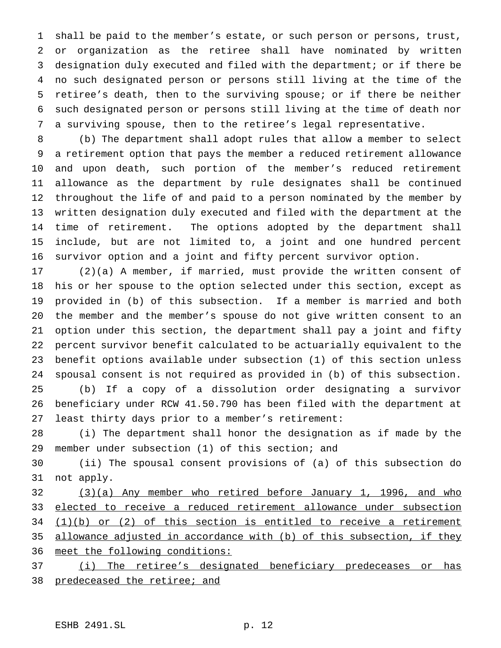shall be paid to the member's estate, or such person or persons, trust, or organization as the retiree shall have nominated by written designation duly executed and filed with the department; or if there be no such designated person or persons still living at the time of the retiree's death, then to the surviving spouse; or if there be neither such designated person or persons still living at the time of death nor a surviving spouse, then to the retiree's legal representative.

 (b) The department shall adopt rules that allow a member to select a retirement option that pays the member a reduced retirement allowance and upon death, such portion of the member's reduced retirement allowance as the department by rule designates shall be continued throughout the life of and paid to a person nominated by the member by written designation duly executed and filed with the department at the time of retirement. The options adopted by the department shall include, but are not limited to, a joint and one hundred percent survivor option and a joint and fifty percent survivor option.

 (2)(a) A member, if married, must provide the written consent of his or her spouse to the option selected under this section, except as provided in (b) of this subsection. If a member is married and both the member and the member's spouse do not give written consent to an option under this section, the department shall pay a joint and fifty percent survivor benefit calculated to be actuarially equivalent to the benefit options available under subsection (1) of this section unless spousal consent is not required as provided in (b) of this subsection. (b) If a copy of a dissolution order designating a survivor beneficiary under RCW 41.50.790 has been filed with the department at least thirty days prior to a member's retirement:

 (i) The department shall honor the designation as if made by the member under subsection (1) of this section; and

 (ii) The spousal consent provisions of (a) of this subsection do not apply.

 (3)(a) Any member who retired before January 1, 1996, and who 33 elected to receive a reduced retirement allowance under subsection 34 (1)(b) or (2) of this section is entitled to receive a retirement 35 allowance adjusted in accordance with (b) of this subsection, if they meet the following conditions:

 (i) The retiree's designated beneficiary predeceases or has predeceased the retiree; and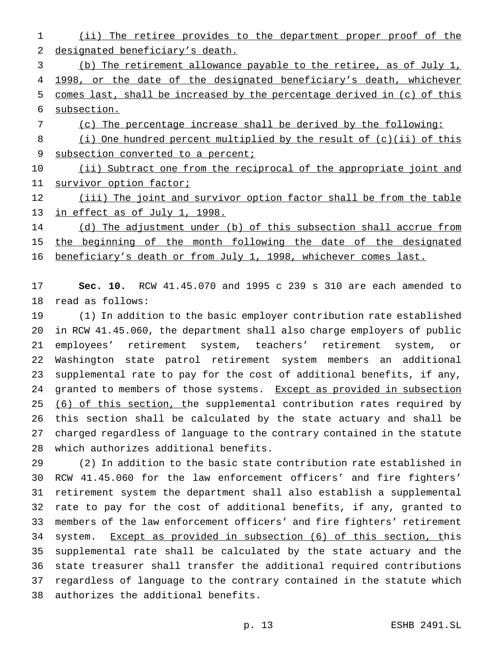(ii) The retiree provides to the department proper proof of the designated beneficiary's death.

 (b) The retirement allowance payable to the retiree, as of July 1, 4 1998, or the date of the designated beneficiary's death, whichever comes last, shall be increased by the percentage derived in (c) of this subsection.

- (c) The percentage increase shall be derived by the following:
- (i) One hundred percent multiplied by the result of (c)(ii) of this 9 subsection converted to a percent;

10 (ii) Subtract one from the reciprocal of the appropriate joint and 11 survivor option factor;

12 (iii) The joint and survivor option factor shall be from the table in effect as of July 1, 1998.

14 (d) The adjustment under (b) of this subsection shall accrue from 15 the beginning of the month following the date of the designated

beneficiary's death or from July 1, 1998, whichever comes last.

 **Sec. 10.** RCW 41.45.070 and 1995 c 239 s 310 are each amended to read as follows:

 (1) In addition to the basic employer contribution rate established in RCW 41.45.060, the department shall also charge employers of public employees' retirement system, teachers' retirement system, or Washington state patrol retirement system members an additional supplemental rate to pay for the cost of additional benefits, if any, 24 granted to members of those systems. Except as provided in subsection 25 (6) of this section, the supplemental contribution rates required by this section shall be calculated by the state actuary and shall be charged regardless of language to the contrary contained in the statute which authorizes additional benefits.

 (2) In addition to the basic state contribution rate established in RCW 41.45.060 for the law enforcement officers' and fire fighters' retirement system the department shall also establish a supplemental rate to pay for the cost of additional benefits, if any, granted to members of the law enforcement officers' and fire fighters' retirement system. Except as provided in subsection (6) of this section, this supplemental rate shall be calculated by the state actuary and the state treasurer shall transfer the additional required contributions regardless of language to the contrary contained in the statute which authorizes the additional benefits.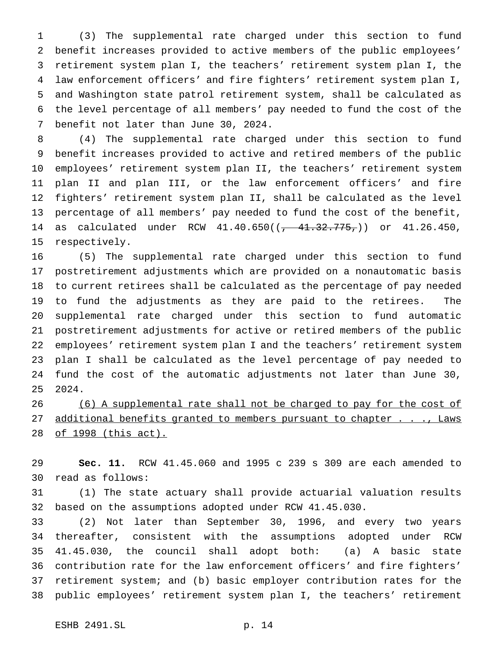(3) The supplemental rate charged under this section to fund benefit increases provided to active members of the public employees' retirement system plan I, the teachers' retirement system plan I, the law enforcement officers' and fire fighters' retirement system plan I, and Washington state patrol retirement system, shall be calculated as the level percentage of all members' pay needed to fund the cost of the benefit not later than June 30, 2024.

 (4) The supplemental rate charged under this section to fund benefit increases provided to active and retired members of the public employees' retirement system plan II, the teachers' retirement system plan II and plan III, or the law enforcement officers' and fire fighters' retirement system plan II, shall be calculated as the level percentage of all members' pay needed to fund the cost of the benefit, 14 as calculated under RCW 41.40.650(( $\frac{41.32.775}{\sqrt{75}}$ )) or 41.26.450, respectively.

 (5) The supplemental rate charged under this section to fund postretirement adjustments which are provided on a nonautomatic basis to current retirees shall be calculated as the percentage of pay needed to fund the adjustments as they are paid to the retirees. The supplemental rate charged under this section to fund automatic postretirement adjustments for active or retired members of the public employees' retirement system plan I and the teachers' retirement system plan I shall be calculated as the level percentage of pay needed to fund the cost of the automatic adjustments not later than June 30, 2024.

 (6) A supplemental rate shall not be charged to pay for the cost of 27 additional benefits granted to members pursuant to chapter . . ., Laws of 1998 (this act).

 **Sec. 11.** RCW 41.45.060 and 1995 c 239 s 309 are each amended to read as follows:

 (1) The state actuary shall provide actuarial valuation results based on the assumptions adopted under RCW 41.45.030.

 (2) Not later than September 30, 1996, and every two years thereafter, consistent with the assumptions adopted under RCW 41.45.030, the council shall adopt both: (a) A basic state contribution rate for the law enforcement officers' and fire fighters' retirement system; and (b) basic employer contribution rates for the public employees' retirement system plan I, the teachers' retirement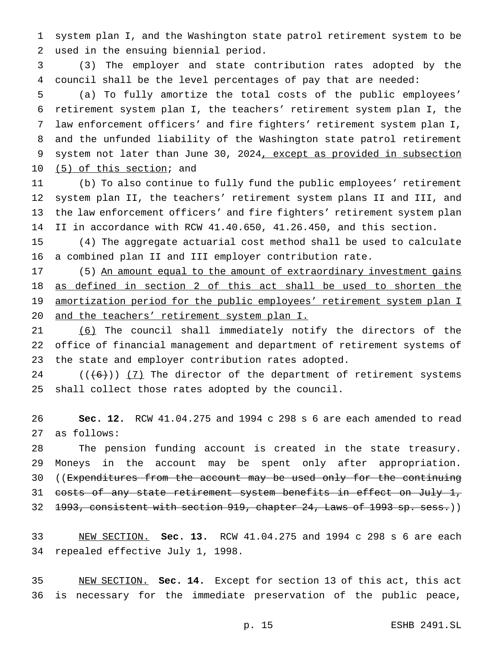system plan I, and the Washington state patrol retirement system to be used in the ensuing biennial period.

 (3) The employer and state contribution rates adopted by the council shall be the level percentages of pay that are needed:

 (a) To fully amortize the total costs of the public employees' retirement system plan I, the teachers' retirement system plan I, the law enforcement officers' and fire fighters' retirement system plan I, and the unfunded liability of the Washington state patrol retirement 9 system not later than June 30, 2024, except as provided in subsection (5) of this section; and

 (b) To also continue to fully fund the public employees' retirement system plan II, the teachers' retirement system plans II and III, and the law enforcement officers' and fire fighters' retirement system plan II in accordance with RCW 41.40.650, 41.26.450, and this section.

 (4) The aggregate actuarial cost method shall be used to calculate a combined plan II and III employer contribution rate.

17 (5) An amount equal to the amount of extraordinary investment gains as defined in section 2 of this act shall be used to shorten the 19 amortization period for the public employees' retirement system plan I and the teachers' retirement system plan I.

 (6) The council shall immediately notify the directors of the office of financial management and department of retirement systems of the state and employer contribution rates adopted.

 $((+6))$   $(7)$  The director of the department of retirement systems shall collect those rates adopted by the council.

 **Sec. 12.** RCW 41.04.275 and 1994 c 298 s 6 are each amended to read as follows:

 The pension funding account is created in the state treasury. Moneys in the account may be spent only after appropriation. 30 ((Expenditures from the account may be used only for the continuing 31 costs of any state retirement system benefits in effect on July 1, 32 1993, consistent with section 919, chapter 24, Laws of 1993 sp. sess.))

 NEW SECTION. **Sec. 13.** RCW 41.04.275 and 1994 c 298 s 6 are each repealed effective July 1, 1998.

 NEW SECTION. **Sec. 14.** Except for section 13 of this act, this act is necessary for the immediate preservation of the public peace,